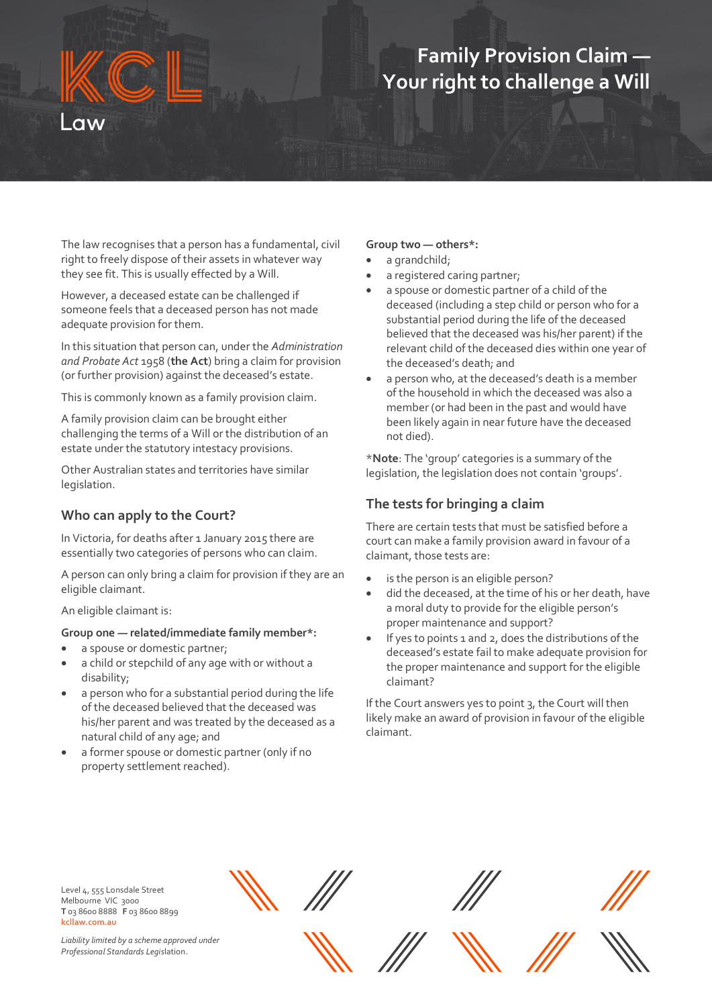# **Family Provision Claim — Your right to challenge a Will**

The law recognises that a person has a fundamental, civil right to freely dispose of their assets in whatever way they see fit. This is usually effected by a Will.

However, a deceased estate can be challenged if someone feels that a deceased person has not made adequate provision for them.

In this situation that person can, under the *Administration and Probate Act* 1958 (**the Act**) bring a claim for provision (or further provision) against the deceased's estate.

This is commonly known as a family provision claim.

A family provision claim can be brought either challenging the terms of a Will or the distribution of an estate under the statutory intestacy provisions.

Other Australian states and territories have similar legislation.

## **Who can apply to the Court?**

In Victoria, for deaths after 1 January 2015 there are essentially two categories of persons who can claim.

A person can only bring a claim for provision if they are an eligible claimant.

An eligible claimant is:

#### **Group one — related/immediate family member\*:**

- a spouse or domestic partner;
- a child or stepchild of any age with or without a disability;
- a person who for a substantial period during the life of the deceased believed that the deceased was his/her parent and was treated by the deceased as a natural child of any age; and
- a former spouse or domestic partner (only if no property settlement reached).

#### **Group two — others\*:**

- a grandchild;
- a registered caring partner;
- a spouse or domestic partner of a child of the deceased (including a step child or person who for a substantial period during the life of the deceased believed that the deceased was his/her parent) if the relevant child of the deceased dies within one year of the deceased's death; and
- a person who, at the deceased's death is a member of the household in which the deceased was also a member (or had been in the past and would have been likely again in near future have the deceased not died).

\***Note**: The 'group' categories is a summary of the legislation, the legislation does not contain 'groups'.

#### **The tests for bringing a claim**

There are certain tests that must be satisfied before a court can make a family provision award in favour of a claimant, those tests are:

- is the person is an eligible person?
- did the deceased, at the time of his or her death, have a moral duty to provide for the eligible person's proper maintenance and support?
- If yes to points 1 and 2, does the distributions of the deceased's estate fail to make adequate provision for the proper maintenance and support for the eligible claimant?

If the Court answers yes to point 3, the Court will then likely make an award of provision in favour of the eligible claimant.

Level 4, 555 Lonsdale Street Melbourne VIC 3000 **T** 03 8600 8888 **F** 03 8600 8899 **kcllaw.com.au**

*Liability limited by a scheme approved under Professional Standards Legis*lation.











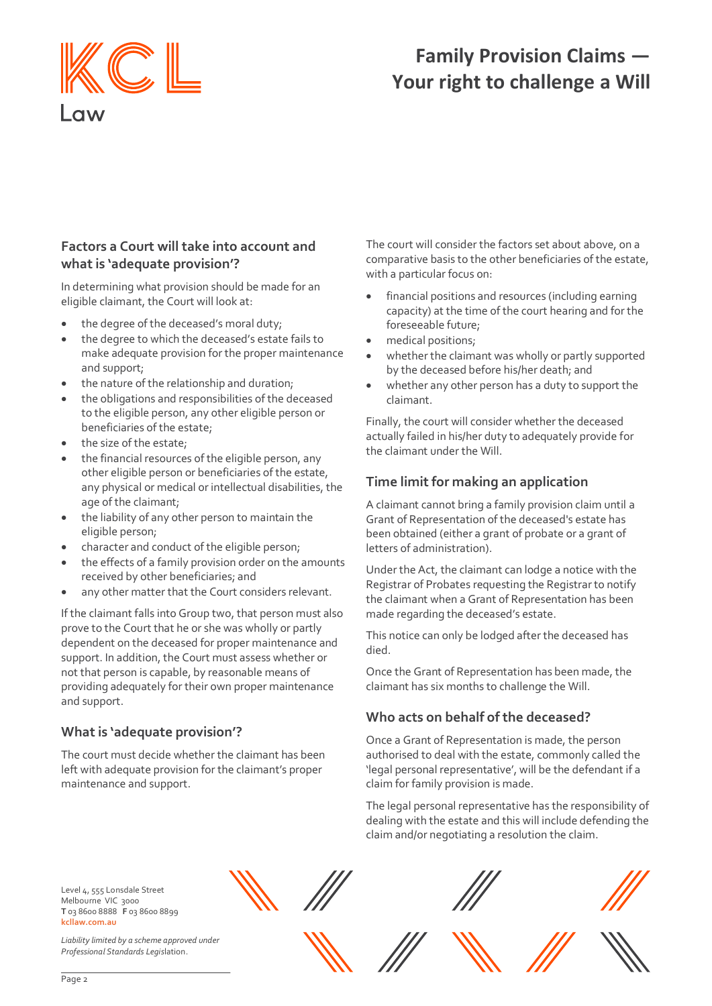

# **Family Provision Claims — Your right to challenge a Will**

## **Factors a Court will take into account and what is 'adequate provision'?**

In determining what provision should be made for an eligible claimant, the Court will look at:

- the degree of the deceased's moral duty;
- the degree to which the deceased's estate fails to make adequate provision for the proper maintenance and support;
- the nature of the relationship and duration;
- the obligations and responsibilities of the deceased to the eligible person, any other eligible person or beneficiaries of the estate;
- the size of the estate;
- the financial resources of the eligible person, any other eligible person or beneficiaries of the estate, any physical or medical or intellectual disabilities, the age of the claimant;
- the liability of any other person to maintain the eligible person;
- character and conduct of the eligible person;
- the effects of a family provision order on the amounts received by other beneficiaries; and
- any other matter that the Court considers relevant.

If the claimant falls into Group two, that person must also prove to the Court that he or she was wholly or partly dependent on the deceased for proper maintenance and support. In addition, the Court must assess whether or not that person is capable, by reasonable means of providing adequately for their own proper maintenance and support.

## **What is 'adequate provision'?**

The court must decide whether the claimant has been left with adequate provision for the claimant's proper maintenance and support.

The court will consider the factors set about above, on a comparative basis to the other beneficiaries of the estate, with a particular focus on:

- financial positions and resources (including earning capacity) at the time of the court hearing and for the foreseeable future;
- medical positions;
- whether the claimant was wholly or partly supported by the deceased before his/her death; and
- whether any other person has a duty to support the claimant.

Finally, the court will consider whether the deceased actually failed in his/her duty to adequately provide for the claimant under the Will.

## **Time limit for making an application**

A claimant cannot bring a family provision claim until a Grant of Representation of the deceased's estate has been obtained (either a grant of probate or a grant of letters of administration).

Under the Act, the claimant can lodge a notice with the Registrar of Probates requesting the Registrar to notify the claimant when a Grant of Representation has been made regarding the deceased's estate.

This notice can only be lodged after the deceased has died.

Once the Grant of Representation has been made, the claimant has six months to challenge the Will.

## **Who acts on behalf of the deceased?**

Once a Grant of Representation is made, the person authorised to deal with the estate, commonly called the 'legal personal representative', will be the defendant if a claim for family provision is made.

The legal personal representative has the responsibility of dealing with the estate and this will include defending the claim and/or negotiating a resolution the claim.

Level 4, 555 Lonsdale Street Melbourne VIC 3000 **T** 03 8600 8888 **F** 03 8600 8899 **kcllaw.com.au**

*Liability limited by a scheme approved under Professional Standards Legis*lation.